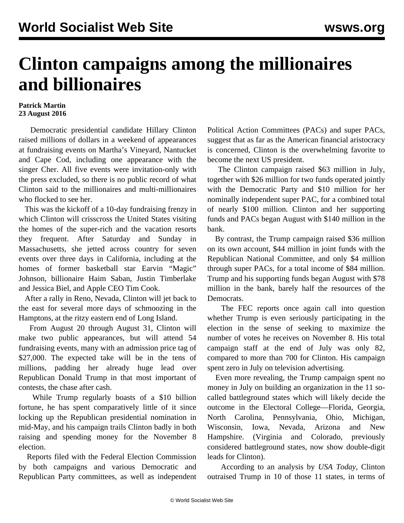## **Clinton campaigns among the millionaires and billionaires**

## **Patrick Martin 23 August 2016**

 Democratic presidential candidate Hillary Clinton raised millions of dollars in a weekend of appearances at fundraising events on Martha's Vineyard, Nantucket and Cape Cod, including one appearance with the singer Cher. All five events were invitation-only with the press excluded, so there is no public record of what Clinton said to the millionaires and multi-millionaires who flocked to see her.

 This was the kickoff of a 10-day fundraising frenzy in which Clinton will crisscross the United States visiting the homes of the super-rich and the vacation resorts they frequent. After Saturday and Sunday in Massachusetts, she jetted across country for seven events over three days in California, including at the homes of former basketball star Earvin "Magic" Johnson, billionaire Haim Saban, Justin Timberlake and Jessica Biel, and Apple CEO Tim Cook.

 After a rally in Reno, Nevada, Clinton will jet back to the east for several more days of schmoozing in the Hamptons, at the ritzy eastern end of Long Island.

 From August 20 through August 31, Clinton will make two public appearances, but will attend 54 fundraising events, many with an admission price tag of \$27,000. The expected take will be in the tens of millions, padding her already huge lead over Republican Donald Trump in that most important of contests, the chase after cash.

 While Trump regularly boasts of a \$10 billion fortune, he has spent comparatively little of it since locking up the Republican presidential nomination in mid-May, and his campaign trails Clinton badly in both raising and spending money for the November 8 election.

 Reports filed with the Federal Election Commission by both campaigns and various Democratic and Republican Party committees, as well as independent Political Action Committees (PACs) and super PACs, suggest that as far as the American financial aristocracy is concerned, Clinton is the overwhelming favorite to become the next US president.

 The Clinton campaign raised \$63 million in July, together with \$26 million for two funds operated jointly with the Democratic Party and \$10 million for her nominally independent super PAC, for a combined total of nearly \$100 million. Clinton and her supporting funds and PACs began August with \$140 million in the bank.

 By contrast, the Trump campaign raised \$36 million on its own account, \$44 million in joint funds with the Republican National Committee, and only \$4 million through super PACs, for a total income of \$84 million. Trump and his supporting funds began August with \$78 million in the bank, barely half the resources of the Democrats.

 The FEC reports once again call into question whether Trump is even seriously participating in the election in the sense of seeking to maximize the number of votes he receives on November 8. His total campaign staff at the end of July was only 82, compared to more than 700 for Clinton. His campaign spent zero in July on television advertising.

 Even more revealing, the Trump campaign spent no money in July on building an organization in the 11 socalled battleground states which will likely decide the outcome in the Electoral College—Florida, Georgia, North Carolina, Pennsylvania, Ohio, Michigan, Wisconsin, Iowa, Nevada, Arizona and New Hampshire. (Virginia and Colorado, previously considered battleground states, now show double-digit leads for Clinton).

 According to an analysis by *USA Today*, Clinton outraised Trump in 10 of those 11 states, in terms of